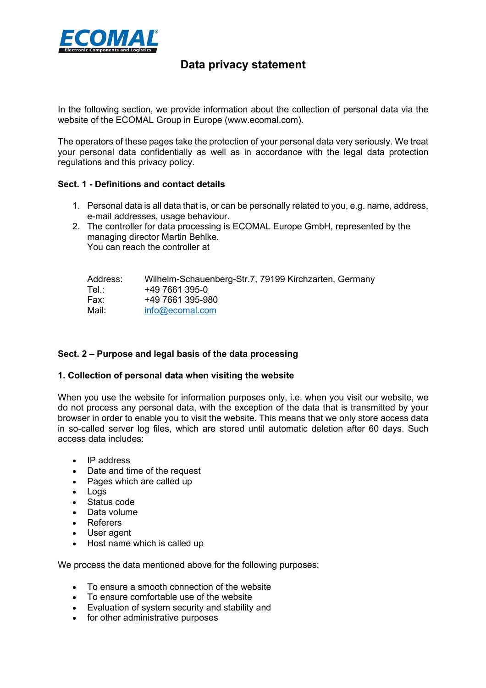

# **Data privacy statement**

In the following section, we provide information about the collection of personal data via the website of the ECOMAL Group in Europe (www.ecomal.com).

The operators of these pages take the protection of your personal data very seriously. We treat your personal data confidentially as well as in accordance with the legal data protection regulations and this privacy policy.

### **Sect. 1 - Definitions and contact details**

- 1. Personal data is all data that is, or can be personally related to you, e.g. name, address, e-mail addresses, usage behaviour.
- 2. The controller for data processing is ECOMAL Europe GmbH, represented by the managing director Martin Behlke. You can reach the controller at

| Address: | Wilhelm-Schauenberg-Str.7, 79199 Kirchzarten, Germany |
|----------|-------------------------------------------------------|
| Tel∴     | +49 7661 395-0                                        |
| Fax:     | +49 7661 395-980                                      |
| Mail:    | info@ecomal.com                                       |

## **Sect. 2 – Purpose and legal basis of the data processing**

## **1. Collection of personal data when visiting the website**

When you use the website for information purposes only, i.e. when you visit our website, we do not process any personal data, with the exception of the data that is transmitted by your browser in order to enable you to visit the website. This means that we only store access data in so-called server log files, which are stored until automatic deletion after 60 days. Such access data includes:

- IP address
- Date and time of the request
- Pages which are called up
- Logs
- Status code
- Data volume
- Referers
- User agent
- Host name which is called up

We process the data mentioned above for the following purposes:

- To ensure a smooth connection of the website
- To ensure comfortable use of the website
- Evaluation of system security and stability and
- for other administrative purposes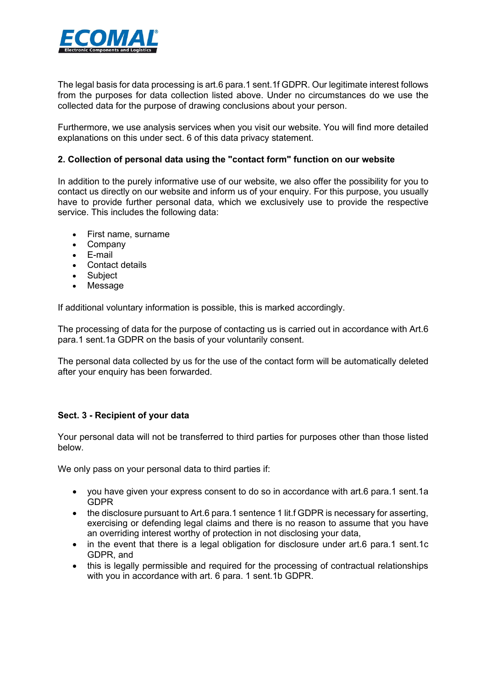

The legal basis for data processing is art.6 para.1 sent.1f GDPR. Our legitimate interest follows from the purposes for data collection listed above. Under no circumstances do we use the collected data for the purpose of drawing conclusions about your person.

Furthermore, we use analysis services when you visit our website. You will find more detailed explanations on this under sect. 6 of this data privacy statement.

## **2. Collection of personal data using the "contact form" function on our website**

In addition to the purely informative use of our website, we also offer the possibility for you to contact us directly on our website and inform us of your enquiry. For this purpose, you usually have to provide further personal data, which we exclusively use to provide the respective service. This includes the following data:

- First name, surname
- Company
- E-mail
- Contact details
- Subject
- Message

If additional voluntary information is possible, this is marked accordingly.

The processing of data for the purpose of contacting us is carried out in accordance with Art.6 para.1 sent.1a GDPR on the basis of your voluntarily consent.

The personal data collected by us for the use of the contact form will be automatically deleted after your enquiry has been forwarded.

## **Sect. 3 - Recipient of your data**

Your personal data will not be transferred to third parties for purposes other than those listed below.

We only pass on your personal data to third parties if:

- you have given your express consent to do so in accordance with art.6 para.1 sent.1a GDPR
- the disclosure pursuant to Art.6 para.1 sentence 1 lit.f GDPR is necessary for asserting, exercising or defending legal claims and there is no reason to assume that you have an overriding interest worthy of protection in not disclosing your data,
- in the event that there is a legal obligation for disclosure under art.6 para.1 sent.1c GDPR, and
- this is legally permissible and required for the processing of contractual relationships with you in accordance with art. 6 para. 1 sent.1b GDPR.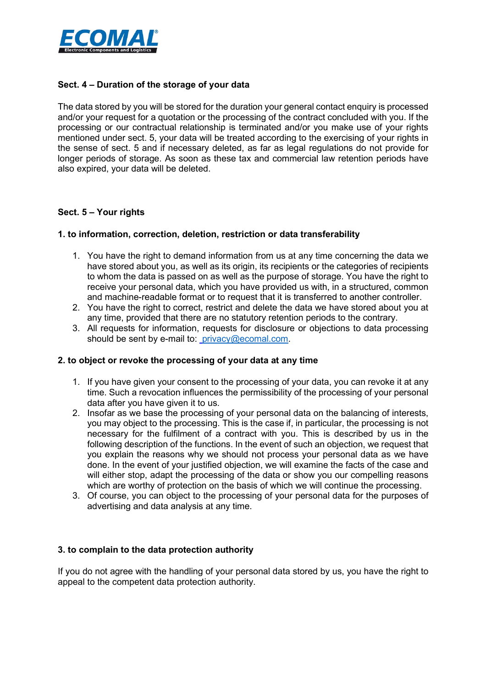

## **Sect. 4 – Duration of the storage of your data**

The data stored by you will be stored for the duration your general contact enquiry is processed and/or your request for a quotation or the processing of the contract concluded with you. If the processing or our contractual relationship is terminated and/or you make use of your rights mentioned under sect. 5, your data will be treated according to the exercising of your rights in the sense of sect. 5 and if necessary deleted, as far as legal regulations do not provide for longer periods of storage. As soon as these tax and commercial law retention periods have also expired, your data will be deleted.

# **Sect. 5 – Your rights**

# **1. to information, correction, deletion, restriction or data transferability**

- 1. You have the right to demand information from us at any time concerning the data we have stored about you, as well as its origin, its recipients or the categories of recipients to whom the data is passed on as well as the purpose of storage. You have the right to receive your personal data, which you have provided us with, in a structured, common and machine-readable format or to request that it is transferred to another controller.
- 2. You have the right to correct, restrict and delete the data we have stored about you at any time, provided that there are no statutory retention periods to the contrary.
- 3. All requests for information, requests for disclosure or objections to data processing should be sent by e-mail to: privacy@ecomal.com.

## **2. to object or revoke the processing of your data at any time**

- 1. If you have given your consent to the processing of your data, you can revoke it at any time. Such a revocation influences the permissibility of the processing of your personal data after you have given it to us.
- 2. Insofar as we base the processing of your personal data on the balancing of interests, you may object to the processing. This is the case if, in particular, the processing is not necessary for the fulfilment of a contract with you. This is described by us in the following description of the functions. In the event of such an objection, we request that you explain the reasons why we should not process your personal data as we have done. In the event of your justified objection, we will examine the facts of the case and will either stop, adapt the processing of the data or show you our compelling reasons which are worthy of protection on the basis of which we will continue the processing.
- 3. Of course, you can object to the processing of your personal data for the purposes of advertising and data analysis at any time.

## **3. to complain to the data protection authority**

If you do not agree with the handling of your personal data stored by us, you have the right to appeal to the competent data protection authority.